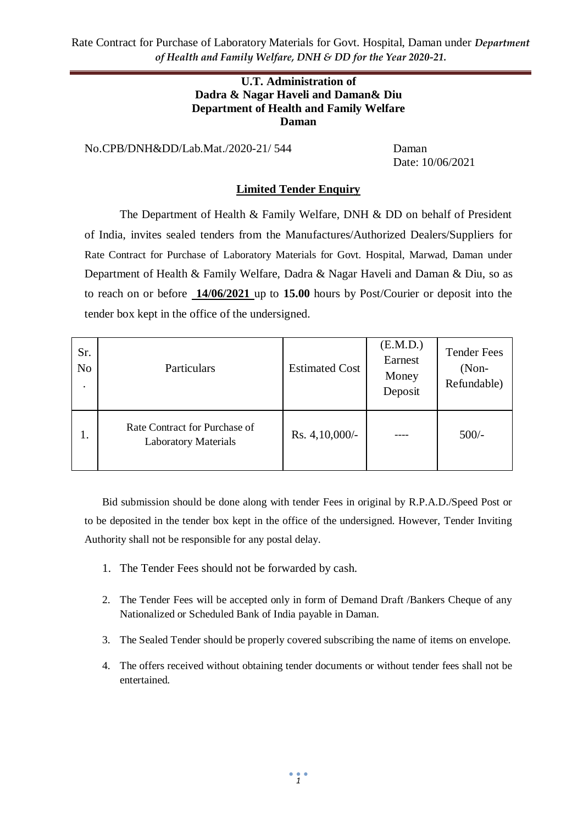Rate Contract for Purchase of Laboratory Materials for Govt. Hospital, Daman under *Department of Health and Family Welfare, DNH & DD for the Year 2020-21.*

#### **U.T. Administration of Dadra & Nagar Haveli and Daman& Diu Department of Health and Family Welfare Daman**

No.CPB/DNH&DD/Lab.Mat./2020-21/ 544 Daman

Date: 10/06/2021

#### **Limited Tender Enquiry**

The Department of Health & Family Welfare, DNH & DD on behalf of President of India, invites sealed tenders from the Manufactures/Authorized Dealers/Suppliers for Rate Contract for Purchase of Laboratory Materials for Govt. Hospital, Marwad, Daman under Department of Health & Family Welfare, Dadra & Nagar Haveli and Daman & Diu, so as to reach on or before **14/06/2021** up to **15.00** hours by Post/Courier or deposit into the tender box kept in the office of the undersigned.

| Sr.<br>No.<br>٠ | Particulars                                                  | <b>Estimated Cost</b> | (E.M.D.)<br>Earnest<br>Money<br>Deposit | <b>Tender Fees</b><br>$(Non-$<br>Refundable) |
|-----------------|--------------------------------------------------------------|-----------------------|-----------------------------------------|----------------------------------------------|
| 1.              | Rate Contract for Purchase of<br><b>Laboratory Materials</b> | Rs. $4,10,000/-$      |                                         | $500/-$                                      |

Bid submission should be done along with tender Fees in original by R.P.A.D./Speed Post or to be deposited in the tender box kept in the office of the undersigned. However, Tender Inviting Authority shall not be responsible for any postal delay.

- 1. The Tender Fees should not be forwarded by cash.
- 2. The Tender Fees will be accepted only in form of Demand Draft /Bankers Cheque of any Nationalized or Scheduled Bank of India payable in Daman.
- 3. The Sealed Tender should be properly covered subscribing the name of items on envelope.
- 4. The offers received without obtaining tender documents or without tender fees shall not be entertained.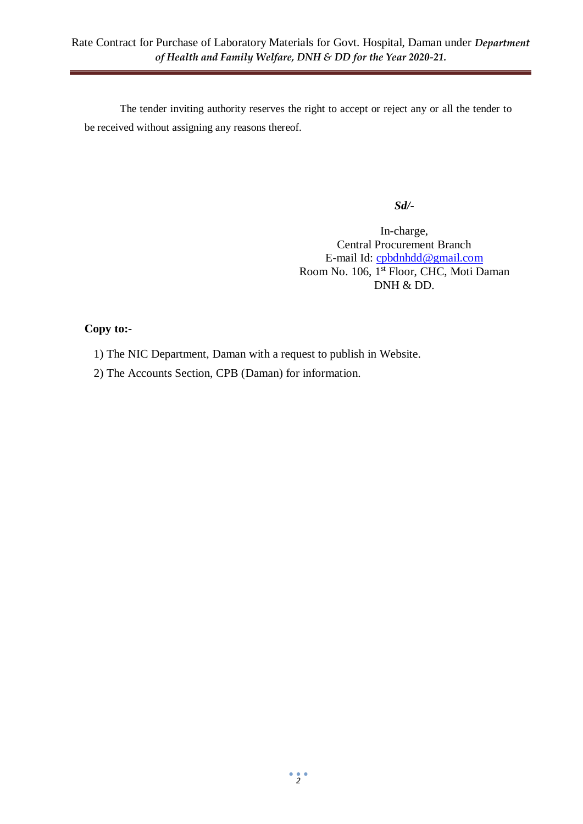The tender inviting authority reserves the right to accept or reject any or all the tender to be received without assigning any reasons thereof.

*Sd/-*

In-charge, Central Procurement Branch E-mail Id: [cpbdnhdd@gmail.com](mailto:cpbdnhdd@gmail.com) Room No. 106, 1<sup>st</sup> Floor, CHC, Moti Daman DNH & DD.

## **Copy to:-**

- 1) The NIC Department, Daman with a request to publish in Website.
- 2) The Accounts Section, CPB (Daman) for information.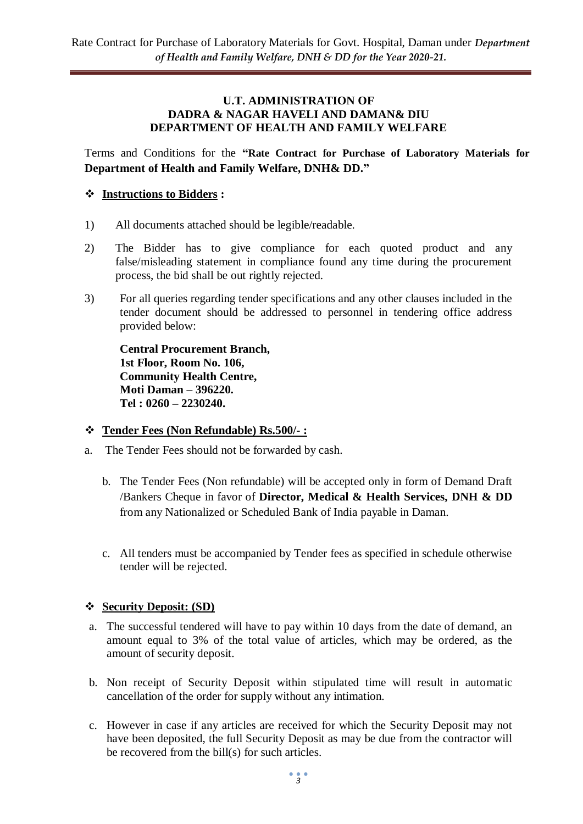#### **U.T. ADMINISTRATION OF DADRA & NAGAR HAVELI AND DAMAN& DIU DEPARTMENT OF HEALTH AND FAMILY WELFARE**

Terms and Conditions for the **"Rate Contract for Purchase of Laboratory Materials for Department of Health and Family Welfare, DNH& DD."**

## **Instructions to Bidders :**

- 1) All documents attached should be legible/readable.
- 2) The Bidder has to give compliance for each quoted product and any false/misleading statement in compliance found any time during the procurement process, the bid shall be out rightly rejected.
- 3) For all queries regarding tender specifications and any other clauses included in the tender document should be addressed to personnel in tendering office address provided below:

**Central Procurement Branch, 1st Floor, Room No. 106, Community Health Centre, Moti Daman – 396220. Tel : 0260 – 2230240.**

### **Tender Fees (Non Refundable) Rs.500/- :**

- a. The Tender Fees should not be forwarded by cash.
	- b. The Tender Fees (Non refundable) will be accepted only in form of Demand Draft /Bankers Cheque in favor of **Director, Medical & Health Services, DNH & DD**  from any Nationalized or Scheduled Bank of India payable in Daman.
	- c. All tenders must be accompanied by Tender fees as specified in schedule otherwise tender will be rejected.

### **Security Deposit: (SD)**

- a. The successful tendered will have to pay within 10 days from the date of demand, an amount equal to 3% of the total value of articles, which may be ordered, as the amount of security deposit.
- b. Non receipt of Security Deposit within stipulated time will result in automatic cancellation of the order for supply without any intimation.
- c. However in case if any articles are received for which the Security Deposit may not have been deposited, the full Security Deposit as may be due from the contractor will be recovered from the bill(s) for such articles.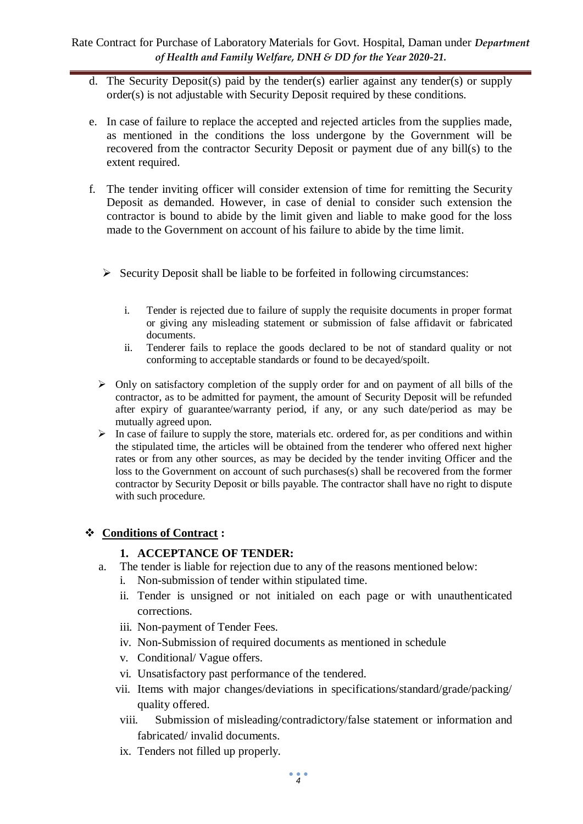- d. The Security Deposit(s) paid by the tender(s) earlier against any tender(s) or supply order(s) is not adjustable with Security Deposit required by these conditions.
- e. In case of failure to replace the accepted and rejected articles from the supplies made, as mentioned in the conditions the loss undergone by the Government will be recovered from the contractor Security Deposit or payment due of any bill(s) to the extent required.
- f. The tender inviting officer will consider extension of time for remitting the Security Deposit as demanded. However, in case of denial to consider such extension the contractor is bound to abide by the limit given and liable to make good for the loss made to the Government on account of his failure to abide by the time limit.
	- $\triangleright$  Security Deposit shall be liable to be forfeited in following circumstances:
		- i. Tender is rejected due to failure of supply the requisite documents in proper format or giving any misleading statement or submission of false affidavit or fabricated documents.
		- ii. Tenderer fails to replace the goods declared to be not of standard quality or not conforming to acceptable standards or found to be decayed/spoilt.
	- $\triangleright$  Only on satisfactory completion of the supply order for and on payment of all bills of the contractor, as to be admitted for payment, the amount of Security Deposit will be refunded after expiry of guarantee/warranty period, if any, or any such date/period as may be mutually agreed upon.
	- $\triangleright$  In case of failure to supply the store, materials etc. ordered for, as per conditions and within the stipulated time, the articles will be obtained from the tenderer who offered next higher rates or from any other sources, as may be decided by the tender inviting Officer and the loss to the Government on account of such purchases(s) shall be recovered from the former contractor by Security Deposit or bills payable. The contractor shall have no right to dispute with such procedure.

# **Conditions of Contract :**

# **1. ACCEPTANCE OF TENDER:**

- a. The tender is liable for rejection due to any of the reasons mentioned below:
	- i. Non-submission of tender within stipulated time.
	- ii. Tender is unsigned or not initialed on each page or with unauthenticated corrections.
	- iii. Non-payment of Tender Fees.
	- iv. Non-Submission of required documents as mentioned in schedule
	- v. Conditional/ Vague offers.
	- vi. Unsatisfactory past performance of the tendered.
	- vii. Items with major changes/deviations in specifications/standard/grade/packing/ quality offered.
	- viii. Submission of misleading/contradictory/false statement or information and fabricated/ invalid documents.
	- ix. Tenders not filled up properly.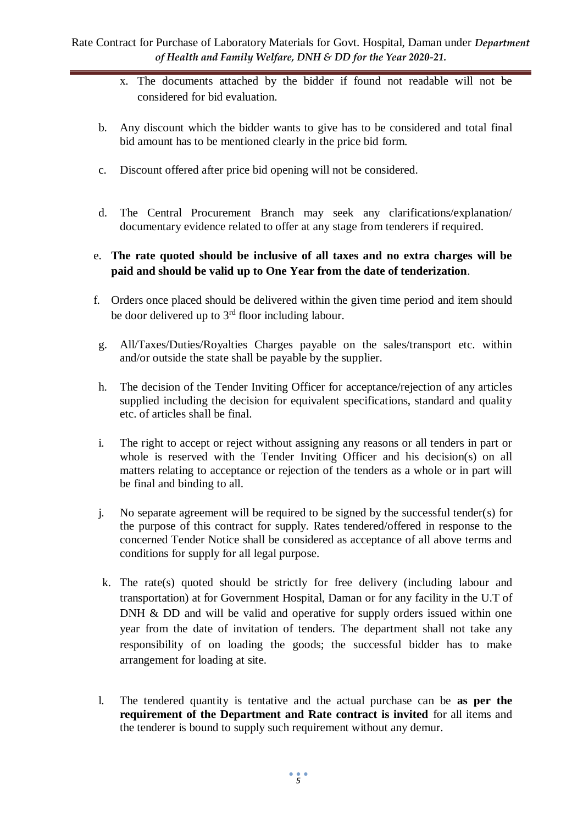- x. The documents attached by the bidder if found not readable will not be considered for bid evaluation.
- b. Any discount which the bidder wants to give has to be considered and total final bid amount has to be mentioned clearly in the price bid form.
- c. Discount offered after price bid opening will not be considered.
- d. The Central Procurement Branch may seek any clarifications/explanation/ documentary evidence related to offer at any stage from tenderers if required.
- e. **The rate quoted should be inclusive of all taxes and no extra charges will be paid and should be valid up to One Year from the date of tenderization**.
- f. Orders once placed should be delivered within the given time period and item should be door delivered up to  $3<sup>rd</sup>$  floor including labour.
- g. All/Taxes/Duties/Royalties Charges payable on the sales/transport etc. within and/or outside the state shall be payable by the supplier.
- h. The decision of the Tender Inviting Officer for acceptance/rejection of any articles supplied including the decision for equivalent specifications, standard and quality etc. of articles shall be final.
- i. The right to accept or reject without assigning any reasons or all tenders in part or whole is reserved with the Tender Inviting Officer and his decision(s) on all matters relating to acceptance or rejection of the tenders as a whole or in part will be final and binding to all.
- j. No separate agreement will be required to be signed by the successful tender(s) for the purpose of this contract for supply. Rates tendered/offered in response to the concerned Tender Notice shall be considered as acceptance of all above terms and conditions for supply for all legal purpose.
- k. The rate(s) quoted should be strictly for free delivery (including labour and transportation) at for Government Hospital, Daman or for any facility in the U.T of DNH & DD and will be valid and operative for supply orders issued within one year from the date of invitation of tenders. The department shall not take any responsibility of on loading the goods; the successful bidder has to make arrangement for loading at site.
- l. The tendered quantity is tentative and the actual purchase can be **as per the requirement of the Department and Rate contract is invited** for all items and the tenderer is bound to supply such requirement without any demur.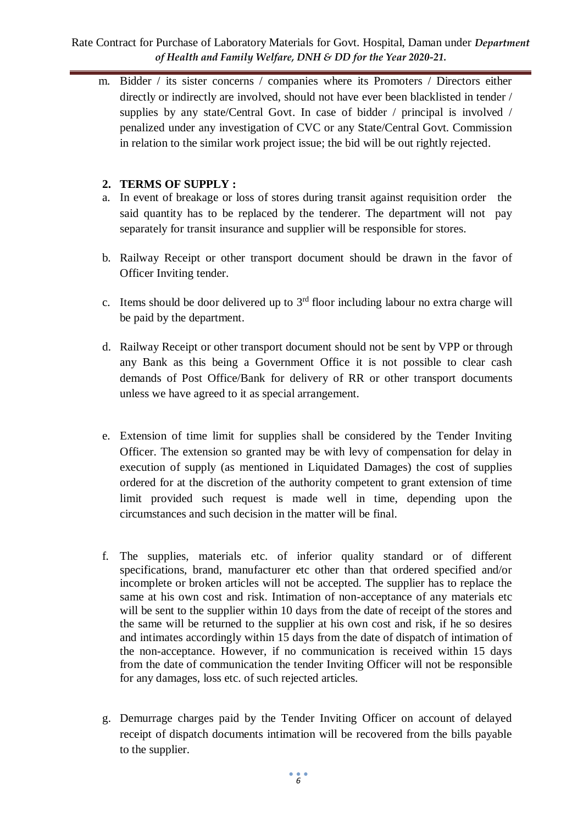## Rate Contract for Purchase of Laboratory Materials for Govt. Hospital, Daman under *Department of Health and Family Welfare, DNH & DD for the Year 2020-21.*

m. Bidder / its sister concerns / companies where its Promoters / Directors either directly or indirectly are involved, should not have ever been blacklisted in tender / supplies by any state/Central Govt. In case of bidder / principal is involved / penalized under any investigation of CVC or any State/Central Govt. Commission in relation to the similar work project issue; the bid will be out rightly rejected.

## **2. TERMS OF SUPPLY :**

- a. In event of breakage or loss of stores during transit against requisition order the said quantity has to be replaced by the tenderer. The department will not pay separately for transit insurance and supplier will be responsible for stores.
- b. Railway Receipt or other transport document should be drawn in the favor of Officer Inviting tender.
- c. Items should be door delivered up to  $3<sup>rd</sup>$  floor including labour no extra charge will be paid by the department.
- d. Railway Receipt or other transport document should not be sent by VPP or through any Bank as this being a Government Office it is not possible to clear cash demands of Post Office/Bank for delivery of RR or other transport documents unless we have agreed to it as special arrangement.
- e. Extension of time limit for supplies shall be considered by the Tender Inviting Officer. The extension so granted may be with levy of compensation for delay in execution of supply (as mentioned in Liquidated Damages) the cost of supplies ordered for at the discretion of the authority competent to grant extension of time limit provided such request is made well in time, depending upon the circumstances and such decision in the matter will be final.
- f. The supplies, materials etc. of inferior quality standard or of different specifications, brand, manufacturer etc other than that ordered specified and/or incomplete or broken articles will not be accepted. The supplier has to replace the same at his own cost and risk. Intimation of non-acceptance of any materials etc will be sent to the supplier within 10 days from the date of receipt of the stores and the same will be returned to the supplier at his own cost and risk, if he so desires and intimates accordingly within 15 days from the date of dispatch of intimation of the non-acceptance. However, if no communication is received within 15 days from the date of communication the tender Inviting Officer will not be responsible for any damages, loss etc. of such rejected articles.
- g. Demurrage charges paid by the Tender Inviting Officer on account of delayed receipt of dispatch documents intimation will be recovered from the bills payable to the supplier.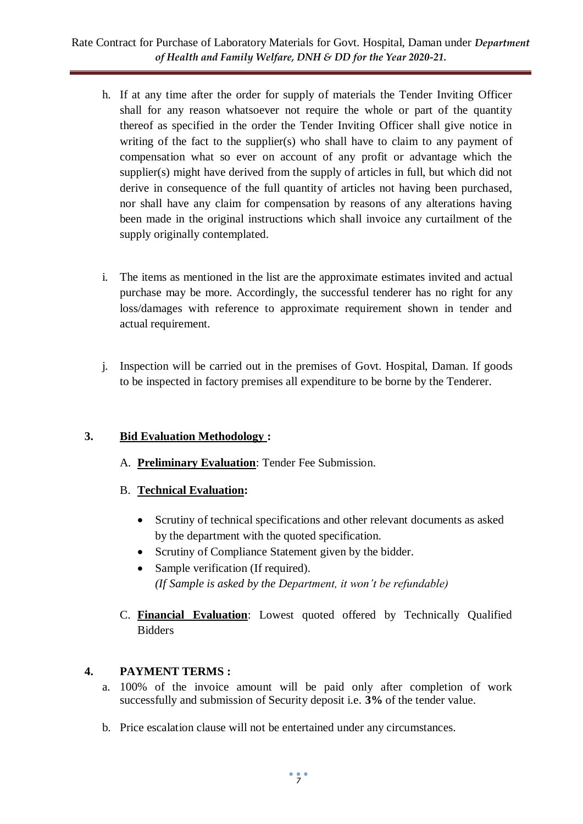- h. If at any time after the order for supply of materials the Tender Inviting Officer shall for any reason whatsoever not require the whole or part of the quantity thereof as specified in the order the Tender Inviting Officer shall give notice in writing of the fact to the supplier(s) who shall have to claim to any payment of compensation what so ever on account of any profit or advantage which the supplier(s) might have derived from the supply of articles in full, but which did not derive in consequence of the full quantity of articles not having been purchased, nor shall have any claim for compensation by reasons of any alterations having been made in the original instructions which shall invoice any curtailment of the supply originally contemplated.
- i. The items as mentioned in the list are the approximate estimates invited and actual purchase may be more. Accordingly, the successful tenderer has no right for any loss/damages with reference to approximate requirement shown in tender and actual requirement.
- j. Inspection will be carried out in the premises of Govt. Hospital, Daman. If goods to be inspected in factory premises all expenditure to be borne by the Tenderer.

# **3. Bid Evaluation Methodology :**

- A. **Preliminary Evaluation**: Tender Fee Submission.
- B. **Technical Evaluation:** 
	- Scrutiny of technical specifications and other relevant documents as asked by the department with the quoted specification.
	- Scrutiny of Compliance Statement given by the bidder.
	- Sample verification (If required). *(If Sample is asked by the Department, it won't be refundable)*
- C. **Financial Evaluation**: Lowest quoted offered by Technically Qualified Bidders

# **4. PAYMENT TERMS :**

- a. 100% of the invoice amount will be paid only after completion of work successfully and submission of Security deposit i.e. **3%** of the tender value.
- b. Price escalation clause will not be entertained under any circumstances.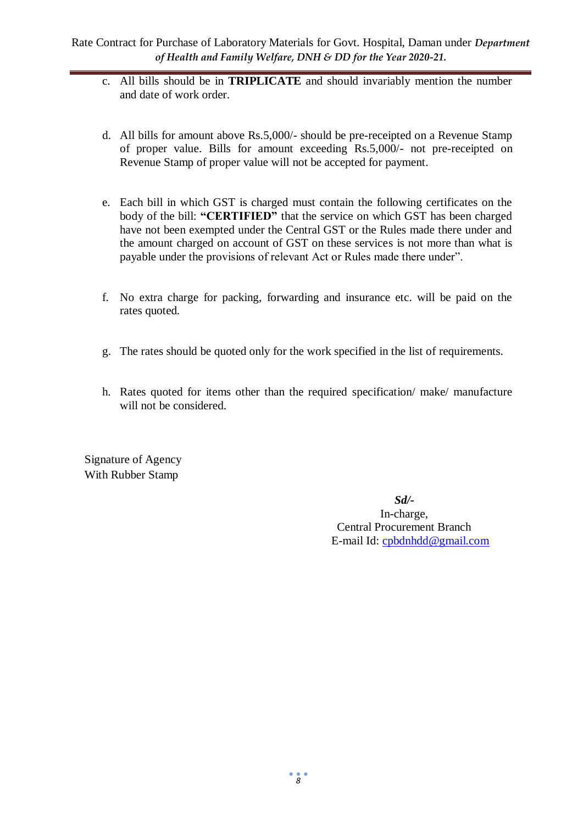- c. All bills should be in **TRIPLICATE** and should invariably mention the number and date of work order.
- d. All bills for amount above Rs.5,000/- should be pre-receipted on a Revenue Stamp of proper value. Bills for amount exceeding Rs.5,000/- not pre-receipted on Revenue Stamp of proper value will not be accepted for payment.
- e. Each bill in which GST is charged must contain the following certificates on the body of the bill: **"CERTIFIED"** that the service on which GST has been charged have not been exempted under the Central GST or the Rules made there under and the amount charged on account of GST on these services is not more than what is payable under the provisions of relevant Act or Rules made there under".
- f. No extra charge for packing, forwarding and insurance etc. will be paid on the rates quoted.
- g. The rates should be quoted only for the work specified in the list of requirements.
- h. Rates quoted for items other than the required specification/ make/ manufacture will not be considered.

Signature of Agency With Rubber Stamp

> *Sd/-* In-charge, Central Procurement Branch E-mail Id: [cpbdnhdd@gmail.com](mailto:cpbdnhdd@gmail.com)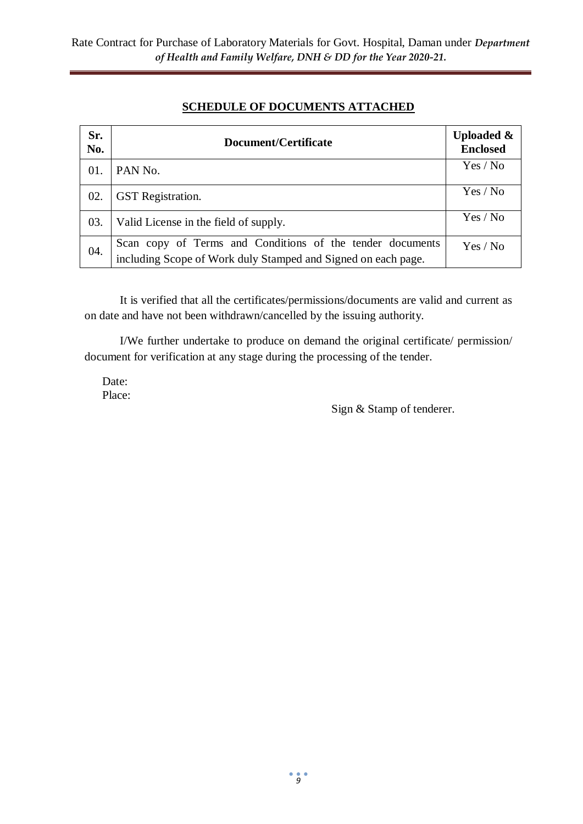# **SCHEDULE OF DOCUMENTS ATTACHED**

| Sr.<br>No. | Document/Certificate                                                                                                       | <b>Uploaded &amp;</b><br><b>Enclosed</b> |
|------------|----------------------------------------------------------------------------------------------------------------------------|------------------------------------------|
| 01.        | PAN No.                                                                                                                    | Yes / No                                 |
| 02.        | <b>GST</b> Registration.                                                                                                   | Yes / No                                 |
| 03.        | Valid License in the field of supply.                                                                                      | Yes / No                                 |
| 04.        | Scan copy of Terms and Conditions of the tender documents<br>including Scope of Work duly Stamped and Signed on each page. | Yes / No                                 |

It is verified that all the certificates/permissions/documents are valid and current as on date and have not been withdrawn/cancelled by the issuing authority.

I/We further undertake to produce on demand the original certificate/ permission/ document for verification at any stage during the processing of the tender.

Date: Place:

Sign & Stamp of tenderer.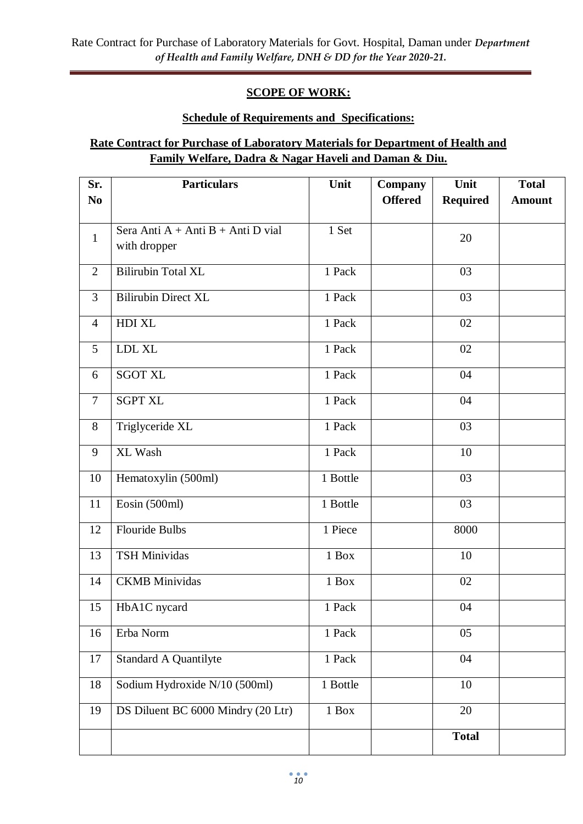# **SCOPE OF WORK:**

# **Schedule of Requirements and Specifications:**

# **Rate Contract for Purchase of Laboratory Materials for Department of Health and Family Welfare, Dadra & Nagar Haveli and Daman & Diu.**

| Sr.            | <b>Particulars</b>                   | Unit     | <b>Company</b> | Unit            | <b>Total</b>  |
|----------------|--------------------------------------|----------|----------------|-----------------|---------------|
| N <sub>0</sub> |                                      |          | <b>Offered</b> | <b>Required</b> | <b>Amount</b> |
|                |                                      |          |                |                 |               |
| $\mathbf{1}$   | Sera Anti $A + Anti B + Anti D$ vial | 1 Set    |                | 20              |               |
|                | with dropper                         |          |                |                 |               |
| 2              | <b>Bilirubin Total XL</b>            | 1 Pack   |                | 03              |               |
| 3              | <b>Bilirubin Direct XL</b>           | 1 Pack   |                | 03              |               |
| $\overline{4}$ | HDI XL                               | 1 Pack   |                | 02              |               |
| 5              | LDL XL                               | 1 Pack   |                | 02              |               |
| 6              | <b>SGOT XL</b>                       | 1 Pack   |                | 04              |               |
| $\overline{7}$ | <b>SGPT XL</b>                       | 1 Pack   |                | 04              |               |
| 8              | Triglyceride XL                      | 1 Pack   |                | 03              |               |
| 9              | XL Wash                              | 1 Pack   |                | 10              |               |
| 10             | Hematoxylin (500ml)                  | 1 Bottle |                | 03              |               |
| 11             | Eosin (500ml)                        | 1 Bottle |                | $\overline{03}$ |               |
| 12             | <b>Flouride Bulbs</b>                | 1 Piece  |                | 8000            |               |
| 13             | <b>TSH Minividas</b>                 | $1$ Box  |                | 10              |               |
| 14             | <b>CKMB</b> Minividas                | 1 Box    |                | 02              |               |
| 15             | HbA1C nycard                         | 1 Pack   |                | 04              |               |
| 16             | Erba Norm                            | 1 Pack   |                | 05              |               |
| 17             | <b>Standard A Quantilyte</b>         | 1 Pack   |                | 04              |               |
| 18             | Sodium Hydroxide N/10 (500ml)        | 1 Bottle |                | 10              |               |
| 19             | DS Diluent BC 6000 Mindry (20 Ltr)   | 1 Box    |                | 20              |               |
|                |                                      |          |                | <b>Total</b>    |               |